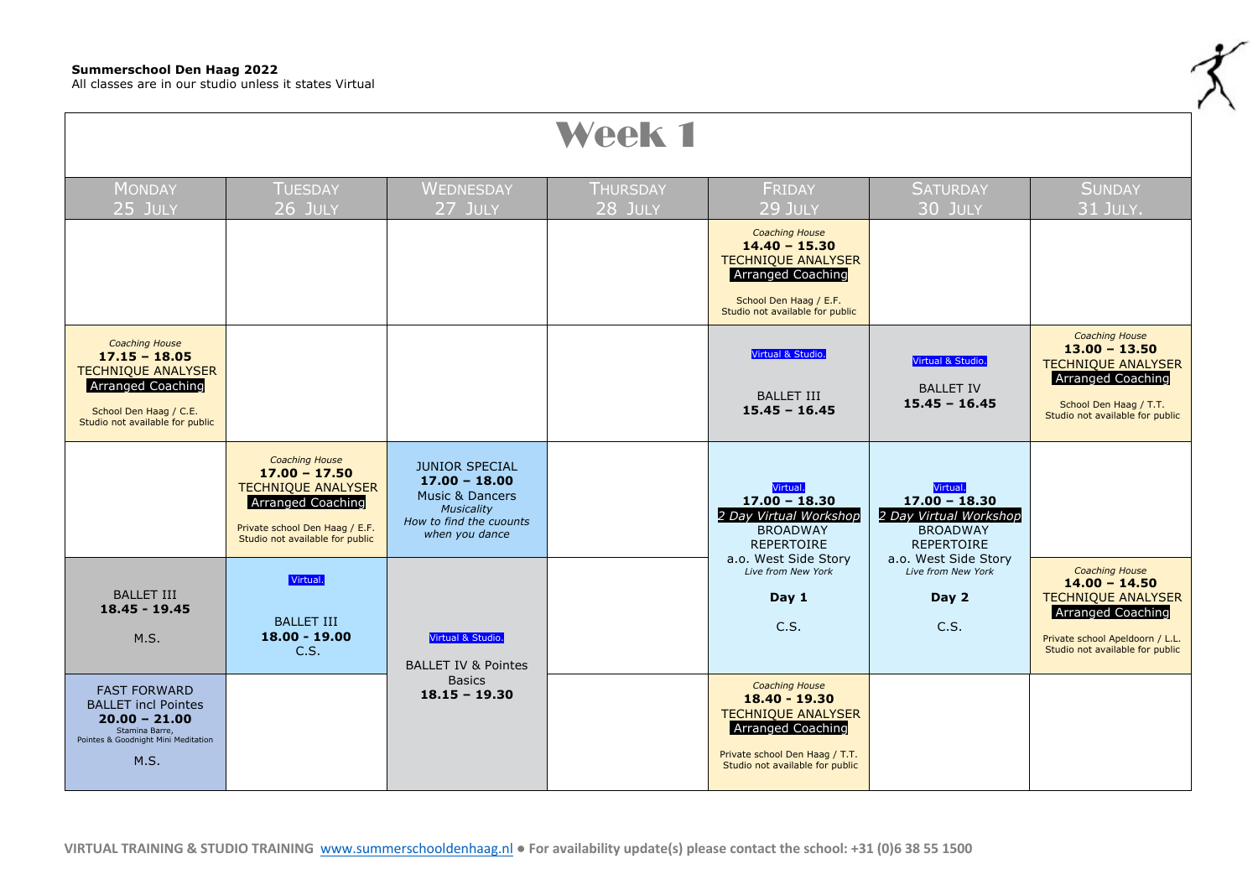## **Summerschool Den Haag 2022**

All classes are in our studio unless it states Virtual

| Week 1                                                                                                                                                         |                                                                                                                                                                 |                                                                                                                                          |                            |                                                                                                                                                                      |                                                                                               |                                                                                                                                                                         |  |
|----------------------------------------------------------------------------------------------------------------------------------------------------------------|-----------------------------------------------------------------------------------------------------------------------------------------------------------------|------------------------------------------------------------------------------------------------------------------------------------------|----------------------------|----------------------------------------------------------------------------------------------------------------------------------------------------------------------|-----------------------------------------------------------------------------------------------|-------------------------------------------------------------------------------------------------------------------------------------------------------------------------|--|
| <b>MONDAY</b><br>$25$ July                                                                                                                                     | <b>TUESDAY</b><br>26 JULY                                                                                                                                       | <b>WEDNESDAY</b><br>27 JULY                                                                                                              | <b>THURSDAY</b><br>28 JULY | <b>FRIDAY</b><br>29 JULY                                                                                                                                             | <b>SATURDAY</b><br>30 JULY                                                                    | <b>SUNDAY</b><br>31 JULY.                                                                                                                                               |  |
|                                                                                                                                                                |                                                                                                                                                                 |                                                                                                                                          |                            | <b>Coaching House</b><br>$14.40 - 15.30$<br><b>TECHNIQUE ANALYSER</b><br><b>Arranged Coaching</b><br>School Den Haag / E.F.<br>Studio not available for public       |                                                                                               |                                                                                                                                                                         |  |
| <b>Coaching House</b><br>$17.15 - 18.05$<br><b>TECHNIQUE ANALYSER</b><br><b>Arranged Coaching</b><br>School Den Haag / C.E.<br>Studio not available for public |                                                                                                                                                                 |                                                                                                                                          |                            | Virtual & Studio.<br><b>BALLET III</b><br>$15.45 - 16.45$                                                                                                            | Virtual & Studio.<br><b>BALLET IV</b><br>$15.45 - 16.45$                                      | <b>Coaching House</b><br>$13.00 - 13.50$<br><b>TECHNIQUE ANALYSER</b><br><b>Arranged Coaching</b><br>School Den Haag / T.T.<br>Studio not available for public          |  |
|                                                                                                                                                                | <b>Coaching House</b><br>$17.00 - 17.50$<br><b>TECHNIQUE ANALYSER</b><br>Arranged Coaching<br>Private school Den Haag / E.F.<br>Studio not available for public | <b>JUNIOR SPECIAL</b><br>$17.00 - 18.00$<br><b>Music &amp; Dancers</b><br><b>Musicality</b><br>How to find the cuounts<br>when you dance |                            | Virtual.<br>$17.00 - 18.30$<br>2 Day Virtual Workshop<br><b>BROADWAY</b><br><b>REPERTOIRE</b>                                                                        | Virtual.<br>$17.00 - 18.30$<br>2 Day Virtual Workshop<br><b>BROADWAY</b><br><b>REPERTOIRE</b> |                                                                                                                                                                         |  |
| <b>BALLET III</b><br>$18.45 - 19.45$<br>M.S.                                                                                                                   | Virtual.<br><b>BALLET III</b><br>$18.00 - 19.00$<br>C.S.                                                                                                        | Virtual & Studio.<br><b>BALLET IV &amp; Pointes</b>                                                                                      |                            | a.o. West Side Story<br>Live from New York<br>Day 1<br>C.S.                                                                                                          | a.o. West Side Story<br>Live from New York<br>Day 2<br>C.S.                                   | <b>Coaching House</b><br>$14.00 - 14.50$<br><b>TECHNIQUE ANALYSER</b><br><b>Arranged Coaching</b><br>Private school Apeldoorn / L.L.<br>Studio not available for public |  |
| <b>FAST FORWARD</b><br><b>BALLET</b> incl Pointes<br>$20.00 - 21.00$<br>Stamina Barre,<br>Pointes & Goodnight Mini Meditation<br>M.S.                          |                                                                                                                                                                 | <b>Basics</b><br>$18.15 - 19.30$                                                                                                         |                            | <b>Coaching House</b><br>18.40 - 19.30<br><b>TECHNIQUE ANALYSER</b><br><b>Arranged Coaching</b><br>Private school Den Haag / T.T.<br>Studio not available for public |                                                                                               |                                                                                                                                                                         |  |

z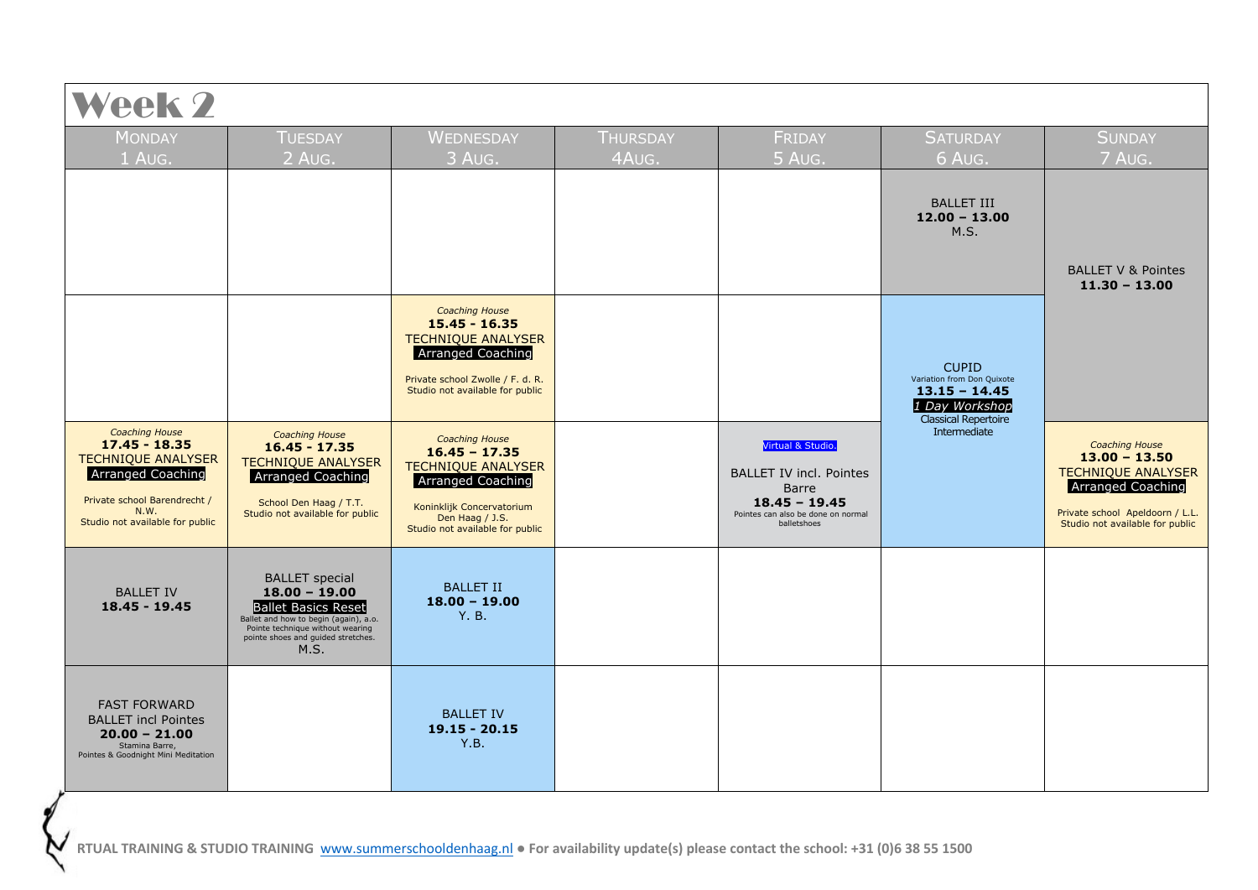| <b>MONDAY</b>                                                                                                                                                                | <b>TUESDAY</b>                                                                                                                                                                                    | WEDNESDAY                                                                                                                                                                     | <b>THURSDAY</b> | FRIDAY                                                                                                                               | <b>SATURDAY</b>                                                                                                | <b>SUNDAY</b>                                                                                                                                                    |
|------------------------------------------------------------------------------------------------------------------------------------------------------------------------------|---------------------------------------------------------------------------------------------------------------------------------------------------------------------------------------------------|-------------------------------------------------------------------------------------------------------------------------------------------------------------------------------|-----------------|--------------------------------------------------------------------------------------------------------------------------------------|----------------------------------------------------------------------------------------------------------------|------------------------------------------------------------------------------------------------------------------------------------------------------------------|
| 1 Aug.                                                                                                                                                                       | $2$ Aug.                                                                                                                                                                                          | 3 AUG.                                                                                                                                                                        | 4AUG.           | 5 AUG.                                                                                                                               | 6 AUG.                                                                                                         | 7 AUG.                                                                                                                                                           |
|                                                                                                                                                                              |                                                                                                                                                                                                   |                                                                                                                                                                               |                 |                                                                                                                                      | <b>BALLET III</b><br>$12.00 - 13.00$<br>M.S.                                                                   | <b>BALLET V &amp; Pointes</b><br>$11.30 - 13.00$                                                                                                                 |
|                                                                                                                                                                              |                                                                                                                                                                                                   | <b>Coaching House</b><br>$15.45 - 16.35$<br><b>TECHNIQUE ANALYSER</b><br><b>Arranged Coaching</b><br>Private school Zwolle / F. d. R.<br>Studio not available for public      |                 |                                                                                                                                      | <b>CUPID</b><br>Variation from Don Quixote<br>$13.15 - 14.45$<br>1 Day Workshop<br><b>Classical Repertoire</b> |                                                                                                                                                                  |
| <b>Coaching House</b><br>$17.45 - 18.35$<br><b>TECHNIQUE ANALYSER</b><br><b>Arranged Coaching</b><br>Private school Barendrecht /<br>N.W.<br>Studio not available for public | <b>Coaching House</b><br>$16.45 - 17.35$<br><b>TECHNIQUE ANALYSER</b><br>Arranged Coaching<br>School Den Haag / T.T.<br>Studio not available for public                                           | <b>Coaching House</b><br>$16.45 - 17.35$<br><b>TECHNIQUE ANALYSER</b><br>Arranged Coaching<br>Koninklijk Concervatorium<br>Den Haag / J.S.<br>Studio not available for public |                 | Virtual & Studio.<br><b>BALLET IV incl. Pointes</b><br>Barre<br>$18.45 - 19.45$<br>Pointes can also be done on normal<br>balletshoes | Intermediate                                                                                                   | <b>Coaching House</b><br>$13.00 - 13.50$<br><b>TECHNIQUE ANALYSER</b><br>Arranged Coaching<br>Private school Apeldoorn / L.L.<br>Studio not available for public |
| <b>BALLET IV</b><br>18.45 - 19.45                                                                                                                                            | <b>BALLET</b> special<br>$18.00 - 19.00$<br><b>Ballet Basics Reset</b><br>Ballet and how to begin (again), a.o.<br>Pointe technique without wearing<br>pointe shoes and guided stretches.<br>M.S. | <b>BALLET II</b><br>$18.00 - 19.00$<br>Y.B.                                                                                                                                   |                 |                                                                                                                                      |                                                                                                                |                                                                                                                                                                  |
| <b>FAST FORWARD</b><br><b>BALLET incl Pointes</b><br>$20.00 - 21.00$<br>Stamina Barre.<br>Pointes & Goodnight Mini Meditation                                                |                                                                                                                                                                                                   | <b>BALLET IV</b><br>$19.15 - 20.15$<br>Y.B.                                                                                                                                   |                 |                                                                                                                                      |                                                                                                                |                                                                                                                                                                  |